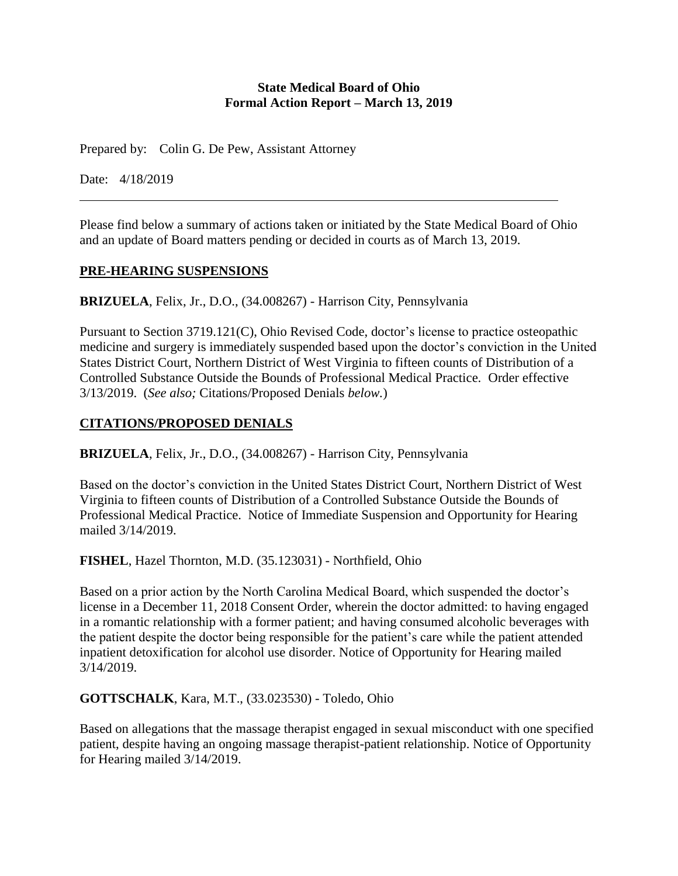#### **State Medical Board of Ohio Formal Action Report – March 13, 2019**

Prepared by: Colin G. De Pew, Assistant Attorney

Date: 4/18/2019

Please find below a summary of actions taken or initiated by the State Medical Board of Ohio and an update of Board matters pending or decided in courts as of March 13, 2019.

#### **PRE-HEARING SUSPENSIONS**

**BRIZUELA**, Felix, Jr., D.O., (34.008267) - Harrison City, Pennsylvania

Pursuant to Section 3719.121(C), Ohio Revised Code, doctor's license to practice osteopathic medicine and surgery is immediately suspended based upon the doctor's conviction in the United States District Court, Northern District of West Virginia to fifteen counts of Distribution of a Controlled Substance Outside the Bounds of Professional Medical Practice. Order effective 3/13/2019. (*See also;* Citations/Proposed Denials *below.*)

# **CITATIONS/PROPOSED DENIALS**

**BRIZUELA**, Felix, Jr., D.O., (34.008267) - Harrison City, Pennsylvania

Based on the doctor's conviction in the United States District Court, Northern District of West Virginia to fifteen counts of Distribution of a Controlled Substance Outside the Bounds of Professional Medical Practice. Notice of Immediate Suspension and Opportunity for Hearing mailed 3/14/2019.

**FISHEL**, Hazel Thornton, M.D. (35.123031) - Northfield, Ohio

Based on a prior action by the North Carolina Medical Board, which suspended the doctor's license in a December 11, 2018 Consent Order, wherein the doctor admitted: to having engaged in a romantic relationship with a former patient; and having consumed alcoholic beverages with the patient despite the doctor being responsible for the patient's care while the patient attended inpatient detoxification for alcohol use disorder. Notice of Opportunity for Hearing mailed 3/14/2019.

**GOTTSCHALK**, Kara, M.T., (33.023530) - Toledo, Ohio

Based on allegations that the massage therapist engaged in sexual misconduct with one specified patient, despite having an ongoing massage therapist-patient relationship. Notice of Opportunity for Hearing mailed 3/14/2019.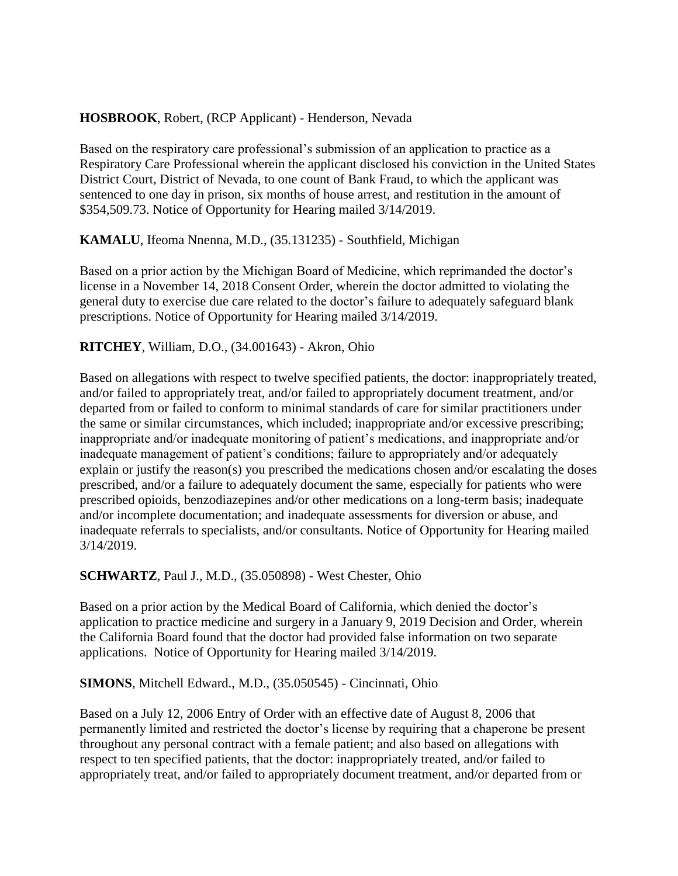# **HOSBROOK**, Robert, (RCP Applicant) - Henderson, Nevada

Based on the respiratory care professional's submission of an application to practice as a Respiratory Care Professional wherein the applicant disclosed his conviction in the United States District Court, District of Nevada, to one count of Bank Fraud, to which the applicant was sentenced to one day in prison, six months of house arrest, and restitution in the amount of \$354,509.73. Notice of Opportunity for Hearing mailed 3/14/2019.

# **KAMALU**, Ifeoma Nnenna, M.D., (35.131235) - Southfield, Michigan

Based on a prior action by the Michigan Board of Medicine, which reprimanded the doctor's license in a November 14, 2018 Consent Order, wherein the doctor admitted to violating the general duty to exercise due care related to the doctor's failure to adequately safeguard blank prescriptions. Notice of Opportunity for Hearing mailed 3/14/2019.

# **RITCHEY**, William, D.O., (34.001643) - Akron, Ohio

Based on allegations with respect to twelve specified patients, the doctor: inappropriately treated, and/or failed to appropriately treat, and/or failed to appropriately document treatment, and/or departed from or failed to conform to minimal standards of care for similar practitioners under the same or similar circumstances, which included; inappropriate and/or excessive prescribing; inappropriate and/or inadequate monitoring of patient's medications, and inappropriate and/or inadequate management of patient's conditions; failure to appropriately and/or adequately explain or justify the reason(s) you prescribed the medications chosen and/or escalating the doses prescribed, and/or a failure to adequately document the same, especially for patients who were prescribed opioids, benzodiazepines and/or other medications on a long-term basis; inadequate and/or incomplete documentation; and inadequate assessments for diversion or abuse, and inadequate referrals to specialists, and/or consultants. Notice of Opportunity for Hearing mailed 3/14/2019.

# **SCHWARTZ**, Paul J., M.D., (35.050898) - West Chester, Ohio

Based on a prior action by the Medical Board of California, which denied the doctor's application to practice medicine and surgery in a January 9, 2019 Decision and Order, wherein the California Board found that the doctor had provided false information on two separate applications. Notice of Opportunity for Hearing mailed 3/14/2019.

# **SIMONS**, Mitchell Edward., M.D., (35.050545) - Cincinnati, Ohio

Based on a July 12, 2006 Entry of Order with an effective date of August 8, 2006 that permanently limited and restricted the doctor's license by requiring that a chaperone be present throughout any personal contract with a female patient; and also based on allegations with respect to ten specified patients, that the doctor: inappropriately treated, and/or failed to appropriately treat, and/or failed to appropriately document treatment, and/or departed from or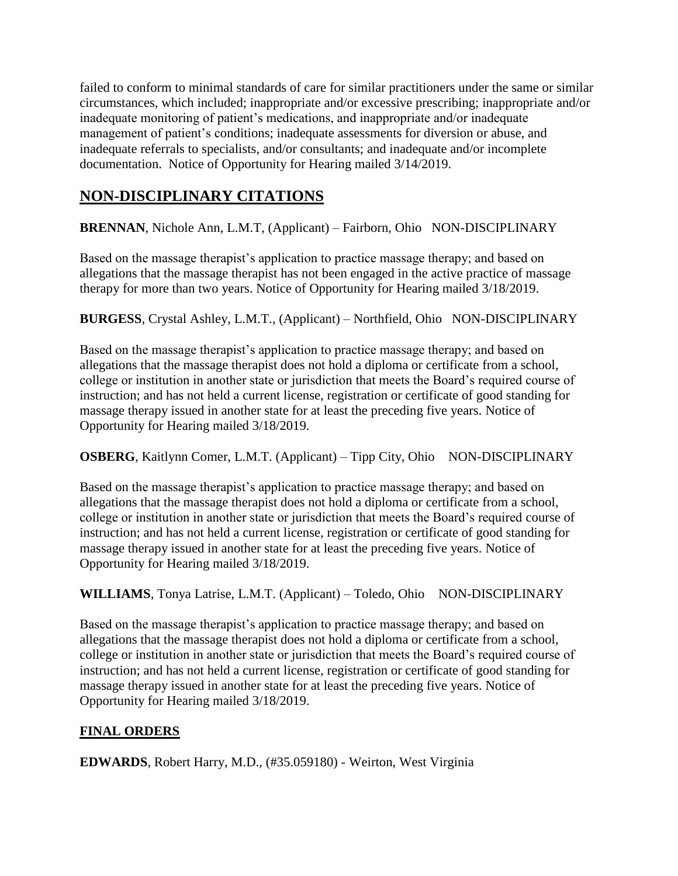failed to conform to minimal standards of care for similar practitioners under the same or similar circumstances, which included; inappropriate and/or excessive prescribing; inappropriate and/or inadequate monitoring of patient's medications, and inappropriate and/or inadequate management of patient's conditions; inadequate assessments for diversion or abuse, and inadequate referrals to specialists, and/or consultants; and inadequate and/or incomplete documentation. Notice of Opportunity for Hearing mailed 3/14/2019.

# **NON-DISCIPLINARY CITATIONS**

**BRENNAN**, Nichole Ann, L.M.T, (Applicant) – Fairborn, Ohio NON-DISCIPLINARY

Based on the massage therapist's application to practice massage therapy; and based on allegations that the massage therapist has not been engaged in the active practice of massage therapy for more than two years. Notice of Opportunity for Hearing mailed 3/18/2019.

**BURGESS**, Crystal Ashley, L.M.T., (Applicant) – Northfield, Ohio NON-DISCIPLINARY

Based on the massage therapist's application to practice massage therapy; and based on allegations that the massage therapist does not hold a diploma or certificate from a school, college or institution in another state or jurisdiction that meets the Board's required course of instruction; and has not held a current license, registration or certificate of good standing for massage therapy issued in another state for at least the preceding five years. Notice of Opportunity for Hearing mailed 3/18/2019.

**OSBERG**, Kaitlynn Comer, L.M.T. (Applicant) – Tipp City, Ohio NON-DISCIPLINARY

Based on the massage therapist's application to practice massage therapy; and based on allegations that the massage therapist does not hold a diploma or certificate from a school, college or institution in another state or jurisdiction that meets the Board's required course of instruction; and has not held a current license, registration or certificate of good standing for massage therapy issued in another state for at least the preceding five years. Notice of Opportunity for Hearing mailed 3/18/2019.

WILLIAMS, Tonya Latrise, L.M.T. (Applicant) – Toledo, Ohio NON-DISCIPLINARY

Based on the massage therapist's application to practice massage therapy; and based on allegations that the massage therapist does not hold a diploma or certificate from a school, college or institution in another state or jurisdiction that meets the Board's required course of instruction; and has not held a current license, registration or certificate of good standing for massage therapy issued in another state for at least the preceding five years. Notice of Opportunity for Hearing mailed 3/18/2019.

# **FINAL ORDERS**

**EDWARDS**, Robert Harry, M.D., (#35.059180) - Weirton, West Virginia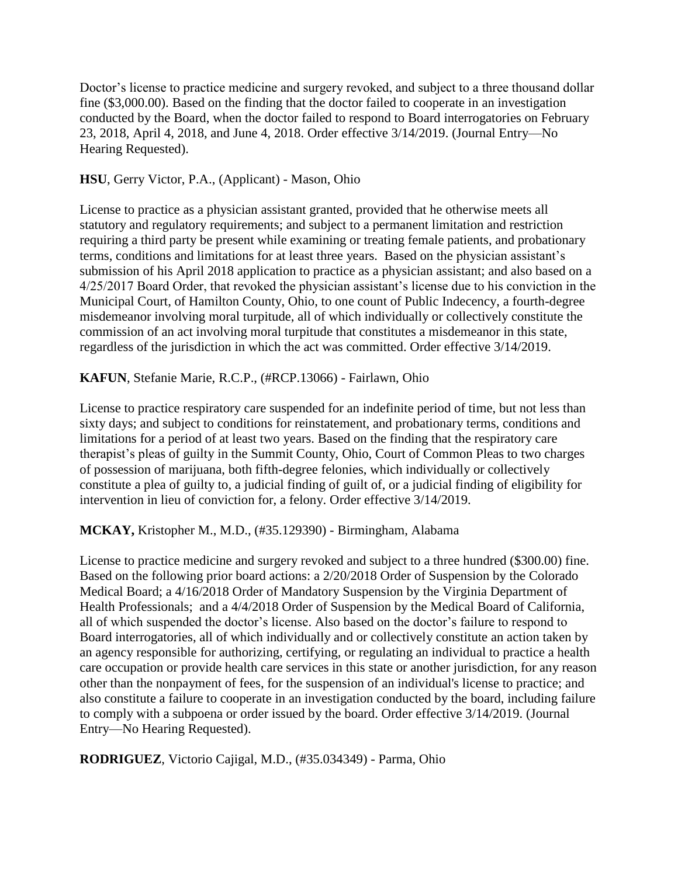Doctor's license to practice medicine and surgery revoked, and subject to a three thousand dollar fine (\$3,000.00). Based on the finding that the doctor failed to cooperate in an investigation conducted by the Board, when the doctor failed to respond to Board interrogatories on February 23, 2018, April 4, 2018, and June 4, 2018. Order effective 3/14/2019. (Journal Entry—No Hearing Requested).

**HSU**, Gerry Victor, P.A., (Applicant) - Mason, Ohio

License to practice as a physician assistant granted, provided that he otherwise meets all statutory and regulatory requirements; and subject to a permanent limitation and restriction requiring a third party be present while examining or treating female patients, and probationary terms, conditions and limitations for at least three years. Based on the physician assistant's submission of his April 2018 application to practice as a physician assistant; and also based on a 4/25/2017 Board Order, that revoked the physician assistant's license due to his conviction in the Municipal Court, of Hamilton County, Ohio, to one count of Public Indecency, a fourth-degree misdemeanor involving moral turpitude, all of which individually or collectively constitute the commission of an act involving moral turpitude that constitutes a misdemeanor in this state, regardless of the jurisdiction in which the act was committed. Order effective 3/14/2019.

**KAFUN**, Stefanie Marie, R.C.P., (#RCP.13066) - Fairlawn, Ohio

License to practice respiratory care suspended for an indefinite period of time, but not less than sixty days; and subject to conditions for reinstatement, and probationary terms, conditions and limitations for a period of at least two years. Based on the finding that the respiratory care therapist's pleas of guilty in the Summit County, Ohio, Court of Common Pleas to two charges of possession of marijuana, both fifth-degree felonies, which individually or collectively constitute a plea of guilty to, a judicial finding of guilt of, or a judicial finding of eligibility for intervention in lieu of conviction for, a felony. Order effective 3/14/2019.

**MCKAY,** Kristopher M., M.D., (#35.129390) - Birmingham, Alabama

License to practice medicine and surgery revoked and subject to a three hundred (\$300.00) fine. Based on the following prior board actions: a 2/20/2018 Order of Suspension by the Colorado Medical Board; a 4/16/2018 Order of Mandatory Suspension by the Virginia Department of Health Professionals; and a 4/4/2018 Order of Suspension by the Medical Board of California, all of which suspended the doctor's license. Also based on the doctor's failure to respond to Board interrogatories, all of which individually and or collectively constitute an action taken by an agency responsible for authorizing, certifying, or regulating an individual to practice a health care occupation or provide health care services in this state or another jurisdiction, for any reason other than the nonpayment of fees, for the suspension of an individual's license to practice; and also constitute a failure to cooperate in an investigation conducted by the board, including failure to comply with a subpoena or order issued by the board. Order effective 3/14/2019. (Journal Entry—No Hearing Requested).

**RODRIGUEZ**, Victorio Cajigal, M.D., (#35.034349) - Parma, Ohio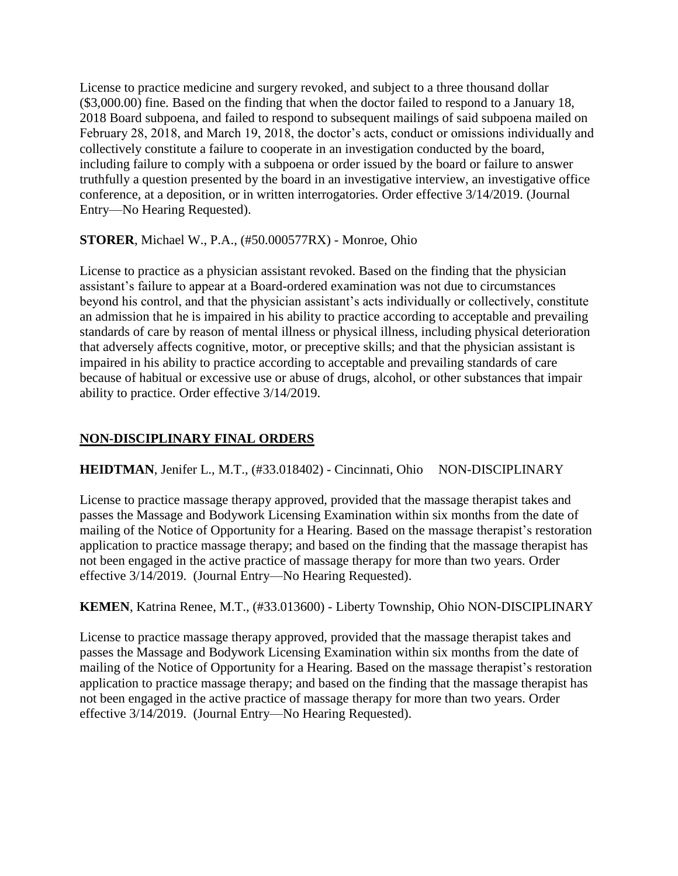License to practice medicine and surgery revoked, and subject to a three thousand dollar (\$3,000.00) fine. Based on the finding that when the doctor failed to respond to a January 18, 2018 Board subpoena, and failed to respond to subsequent mailings of said subpoena mailed on February 28, 2018, and March 19, 2018, the doctor's acts, conduct or omissions individually and collectively constitute a failure to cooperate in an investigation conducted by the board, including failure to comply with a subpoena or order issued by the board or failure to answer truthfully a question presented by the board in an investigative interview, an investigative office conference, at a deposition, or in written interrogatories. Order effective 3/14/2019. (Journal Entry—No Hearing Requested).

# **STORER**, Michael W., P.A., (#50.000577RX) - Monroe, Ohio

License to practice as a physician assistant revoked. Based on the finding that the physician assistant's failure to appear at a Board-ordered examination was not due to circumstances beyond his control, and that the physician assistant's acts individually or collectively, constitute an admission that he is impaired in his ability to practice according to acceptable and prevailing standards of care by reason of mental illness or physical illness, including physical deterioration that adversely affects cognitive, motor, or preceptive skills; and that the physician assistant is impaired in his ability to practice according to acceptable and prevailing standards of care because of habitual or excessive use or abuse of drugs, alcohol, or other substances that impair ability to practice. Order effective 3/14/2019.

# **NON-DISCIPLINARY FINAL ORDERS**

# **HEIDTMAN**, Jenifer L., M.T., (#33.018402) - Cincinnati, Ohio NON-DISCIPLINARY

License to practice massage therapy approved, provided that the massage therapist takes and passes the Massage and Bodywork Licensing Examination within six months from the date of mailing of the Notice of Opportunity for a Hearing. Based on the massage therapist's restoration application to practice massage therapy; and based on the finding that the massage therapist has not been engaged in the active practice of massage therapy for more than two years. Order effective 3/14/2019. (Journal Entry—No Hearing Requested).

# **KEMEN**, Katrina Renee, M.T., (#33.013600) - Liberty Township, Ohio NON-DISCIPLINARY

License to practice massage therapy approved, provided that the massage therapist takes and passes the Massage and Bodywork Licensing Examination within six months from the date of mailing of the Notice of Opportunity for a Hearing. Based on the massage therapist's restoration application to practice massage therapy; and based on the finding that the massage therapist has not been engaged in the active practice of massage therapy for more than two years. Order effective 3/14/2019. (Journal Entry—No Hearing Requested).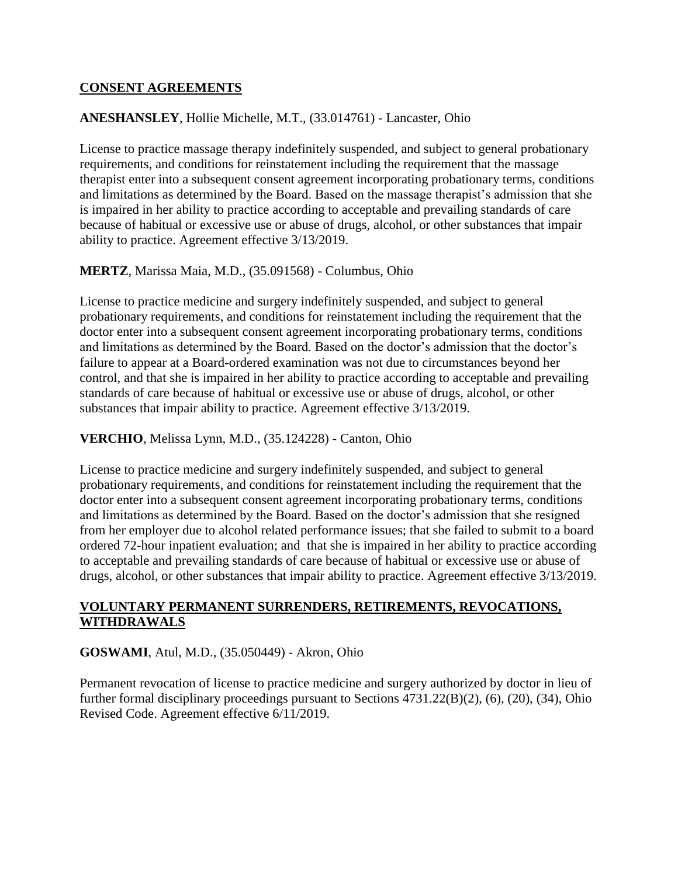#### **CONSENT AGREEMENTS**

# **ANESHANSLEY**, Hollie Michelle, M.T., (33.014761) - Lancaster, Ohio

License to practice massage therapy indefinitely suspended, and subject to general probationary requirements, and conditions for reinstatement including the requirement that the massage therapist enter into a subsequent consent agreement incorporating probationary terms, conditions and limitations as determined by the Board. Based on the massage therapist's admission that she is impaired in her ability to practice according to acceptable and prevailing standards of care because of habitual or excessive use or abuse of drugs, alcohol, or other substances that impair ability to practice. Agreement effective 3/13/2019.

#### **MERTZ**, Marissa Maia, M.D., (35.091568) - Columbus, Ohio

License to practice medicine and surgery indefinitely suspended, and subject to general probationary requirements, and conditions for reinstatement including the requirement that the doctor enter into a subsequent consent agreement incorporating probationary terms, conditions and limitations as determined by the Board. Based on the doctor's admission that the doctor's failure to appear at a Board-ordered examination was not due to circumstances beyond her control, and that she is impaired in her ability to practice according to acceptable and prevailing standards of care because of habitual or excessive use or abuse of drugs, alcohol, or other substances that impair ability to practice. Agreement effective 3/13/2019.

#### **VERCHIO**, Melissa Lynn, M.D., (35.124228) - Canton, Ohio

License to practice medicine and surgery indefinitely suspended, and subject to general probationary requirements, and conditions for reinstatement including the requirement that the doctor enter into a subsequent consent agreement incorporating probationary terms, conditions and limitations as determined by the Board. Based on the doctor's admission that she resigned from her employer due to alcohol related performance issues; that she failed to submit to a board ordered 72-hour inpatient evaluation; and that she is impaired in her ability to practice according to acceptable and prevailing standards of care because of habitual or excessive use or abuse of drugs, alcohol, or other substances that impair ability to practice. Agreement effective 3/13/2019.

#### **VOLUNTARY PERMANENT SURRENDERS, RETIREMENTS, REVOCATIONS, WITHDRAWALS**

#### **GOSWAMI**, Atul, M.D., (35.050449) - Akron, Ohio

Permanent revocation of license to practice medicine and surgery authorized by doctor in lieu of further formal disciplinary proceedings pursuant to Sections 4731.22(B)(2), (6), (20), (34), Ohio Revised Code. Agreement effective 6/11/2019.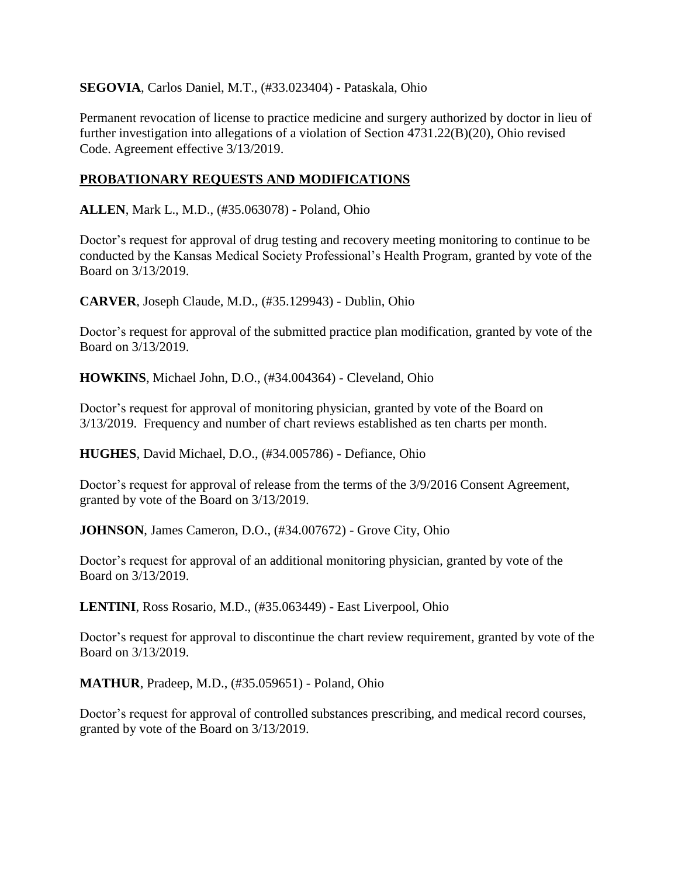#### **SEGOVIA**, Carlos Daniel, M.T., (#33.023404) - Pataskala, Ohio

Permanent revocation of license to practice medicine and surgery authorized by doctor in lieu of further investigation into allegations of a violation of Section 4731.22(B)(20), Ohio revised Code. Agreement effective 3/13/2019.

# **PROBATIONARY REQUESTS AND MODIFICATIONS**

**ALLEN**, Mark L., M.D., (#35.063078) - Poland, Ohio

Doctor's request for approval of drug testing and recovery meeting monitoring to continue to be conducted by the Kansas Medical Society Professional's Health Program, granted by vote of the Board on 3/13/2019.

**CARVER**, Joseph Claude, M.D., (#35.129943) - Dublin, Ohio

Doctor's request for approval of the submitted practice plan modification, granted by vote of the Board on 3/13/2019.

**HOWKINS**, Michael John, D.O., (#34.004364) - Cleveland, Ohio

Doctor's request for approval of monitoring physician, granted by vote of the Board on 3/13/2019. Frequency and number of chart reviews established as ten charts per month.

**HUGHES**, David Michael, D.O., (#34.005786) - Defiance, Ohio

Doctor's request for approval of release from the terms of the 3/9/2016 Consent Agreement, granted by vote of the Board on 3/13/2019.

**JOHNSON**, James Cameron, D.O., (#34.007672) - Grove City, Ohio

Doctor's request for approval of an additional monitoring physician, granted by vote of the Board on 3/13/2019.

**LENTINI**, Ross Rosario, M.D., (#35.063449) - East Liverpool, Ohio

Doctor's request for approval to discontinue the chart review requirement, granted by vote of the Board on 3/13/2019.

**MATHUR**, Pradeep, M.D., (#35.059651) - Poland, Ohio

Doctor's request for approval of controlled substances prescribing, and medical record courses, granted by vote of the Board on 3/13/2019.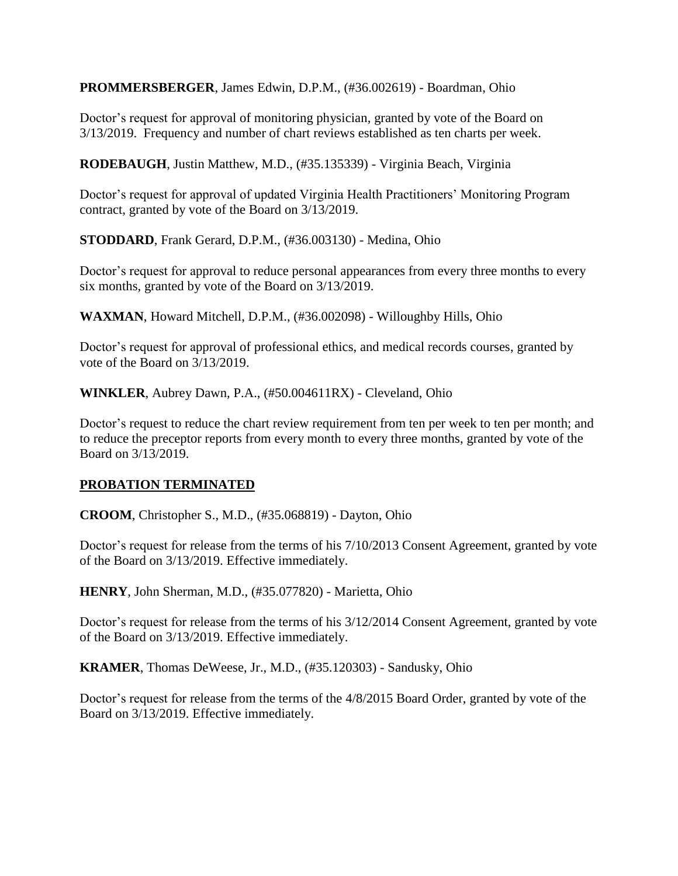**PROMMERSBERGER**, James Edwin, D.P.M., (#36.002619) - Boardman, Ohio

Doctor's request for approval of monitoring physician, granted by vote of the Board on 3/13/2019. Frequency and number of chart reviews established as ten charts per week.

**RODEBAUGH**, Justin Matthew, M.D., (#35.135339) - Virginia Beach, Virginia

Doctor's request for approval of updated Virginia Health Practitioners' Monitoring Program contract, granted by vote of the Board on 3/13/2019.

**STODDARD**, Frank Gerard, D.P.M., (#36.003130) - Medina, Ohio

Doctor's request for approval to reduce personal appearances from every three months to every six months, granted by vote of the Board on 3/13/2019.

**WAXMAN**, Howard Mitchell, D.P.M., (#36.002098) - Willoughby Hills, Ohio

Doctor's request for approval of professional ethics, and medical records courses, granted by vote of the Board on 3/13/2019.

**WINKLER**, Aubrey Dawn, P.A., (#50.004611RX) - Cleveland, Ohio

Doctor's request to reduce the chart review requirement from ten per week to ten per month; and to reduce the preceptor reports from every month to every three months, granted by vote of the Board on 3/13/2019.

# **PROBATION TERMINATED**

**CROOM**, Christopher S., M.D., (#35.068819) - Dayton, Ohio

Doctor's request for release from the terms of his 7/10/2013 Consent Agreement, granted by vote of the Board on 3/13/2019. Effective immediately.

**HENRY**, John Sherman, M.D., (#35.077820) - Marietta, Ohio

Doctor's request for release from the terms of his 3/12/2014 Consent Agreement, granted by vote of the Board on 3/13/2019. Effective immediately.

**KRAMER**, Thomas DeWeese, Jr., M.D., (#35.120303) - Sandusky, Ohio

Doctor's request for release from the terms of the 4/8/2015 Board Order, granted by vote of the Board on 3/13/2019. Effective immediately.